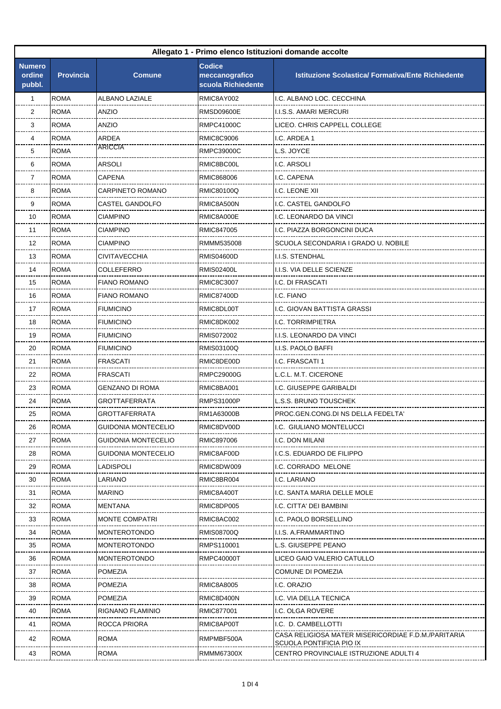| Allegato 1 - Primo elenco Istituzioni domande accolte |                  |                            |                                                       |                                                                                 |
|-------------------------------------------------------|------------------|----------------------------|-------------------------------------------------------|---------------------------------------------------------------------------------|
| <b>Numero</b><br>ordine<br>pubbl.                     | <b>Provincia</b> | <b>Comune</b>              | <b>Codice</b><br>meccanografico<br>scuola Richiedente | <b>Istituzione Scolastica/ Formativa/Ente Richiedente</b>                       |
| $\mathbf{1}$                                          | <b>ROMA</b>      | <b>ALBANO LAZIALE</b>      | RMIC8AY002                                            | I.C. ALBANO LOC. CECCHINA                                                       |
| 2                                                     | <b>ROMA</b>      | <b>ANZIO</b>               | RMSD09600E                                            | I.I.S.S. AMARI MERCURI                                                          |
| 3                                                     | <b>ROMA</b>      | ANZIO                      | RMPC41000C                                            | LICEO. CHRIS CAPPELL COLLEGE                                                    |
| 4                                                     | <b>ROMA</b>      | ARDEA                      | RMIC8C9006                                            | I.C. ARDEA 1                                                                    |
| 5                                                     | <b>ROMA</b>      | <b>ARICCIA</b>             | RMPC39000C                                            | L.S. JOYCE                                                                      |
| 6                                                     | <b>ROMA</b>      | <b>ARSOLI</b>              | RMIC8BC00L                                            | I.C. ARSOLI                                                                     |
| 7                                                     | <b>ROMA</b>      | <b>CAPENA</b>              | RMIC868006                                            | I.C. CAPENA                                                                     |
| 8                                                     | <b>ROMA</b>      | <b>CARPINETO ROMANO</b>    | RMIC80100Q                                            | I.C. LEONE XII                                                                  |
| 9                                                     | <b>ROMA</b>      | CASTEL GANDOLFO            | RMIC8A500N                                            | I.C. CASTEL GANDOLFO                                                            |
| 10                                                    | <b>ROMA</b>      | <b>CIAMPINO</b>            | RMIC8A000E                                            | I.C. LEONARDO DA VINCI                                                          |
| 11                                                    | <b>ROMA</b>      | CIAMPINO                   | RMIC847005                                            | I.C. PIAZZA BORGONCINI DUCA                                                     |
| 12                                                    | <b>ROMA</b>      | CIAMPINO                   | RMMM535008                                            | SCUOLA SECONDARIA I GRADO U. NOBILE                                             |
| 13                                                    | <b>ROMA</b>      | <b>CIVITAVECCHIA</b>       | <b>RMIS04600D</b>                                     | I.I.S. STENDHAL                                                                 |
| 14                                                    | <b>ROMA</b>      | COLLEFERRO                 | RMIS02400L                                            | I.I.S. VIA DELLE SCIENZE                                                        |
| 15                                                    | <b>ROMA</b>      | <b>FIANO ROMANO</b>        | <b>RMIC8C3007</b>                                     | I.C. DI FRASCATI                                                                |
| 16                                                    | <b>ROMA</b>      | <b>FIANO ROMANO</b>        | RMIC87400D                                            | I.C. FIANO                                                                      |
| 17                                                    | <b>ROMA</b>      | <b>FIUMICINO</b>           | RMIC8DL00T                                            | I.C. GIOVAN BATTISTA GRASSI                                                     |
| 18                                                    | <b>ROMA</b>      | <b>FIUMICINO</b>           | RMIC8DK002                                            | I.C. TORRIMPIETRA                                                               |
| 19                                                    | <b>ROMA</b>      | <b>FIUMICINO</b>           | RMIS072002                                            | I.I.S. LEONARDO DA VINCI                                                        |
| 20                                                    | <b>ROMA</b>      | <b>FIUMICINO</b>           | RMIS03100Q                                            | I.I.S. PAOLO BAFFI                                                              |
| 21                                                    | <b>ROMA</b>      | <b>FRASCATI</b>            | RMIC8DE00D                                            | I.C. FRASCATI 1                                                                 |
| 22                                                    | <b>ROMA</b>      | FRASCATI                   | RMPC29000G                                            | L.C.L. M.T. CICERONE                                                            |
| 23                                                    | <b>ROMA</b>      | <b>GENZANO DI ROMA</b>     | RMIC8BA001                                            | I.C. GIUSEPPE GARIBALDI                                                         |
| 24                                                    | <b>ROMA</b>      | GROTTAFERRATA              | <b>RMPS31000P</b>                                     | L.S.S. BRUNO TOUSCHEK                                                           |
| 25                                                    | <b>ROMA</b>      | GROTTAFERRATA              | RM1A63000B                                            | PROC.GEN.CONG.DI NS DELLA FEDELTA'                                              |
| 26                                                    | <b>ROMA</b>      | GUIDONIA MONTECELIO        | RMIC8DV00D                                            | I.C. GIULIANO MONTELUCCI                                                        |
| 27                                                    | <b>ROMA</b>      | GUIDONIA MONTECELIO        | RMIC897006                                            | I.C. DON MILANI                                                                 |
| 28                                                    | <b>ROMA</b>      | <b>GUIDONIA MONTECELIO</b> | RMIC8AF00D                                            | I.C.S. EDUARDO DE FILIPPO                                                       |
| 29                                                    | <b>ROMA</b>      | LADISPOLI                  | RMIC8DW009                                            | I.C. CORRADO MELONE                                                             |
| 30                                                    | <b>ROMA</b>      | LARIANO                    | RMIC8BR004                                            | I.C. LARIANO                                                                    |
| 31                                                    | <b>ROMA</b>      | <b>MARINO</b>              | RMIC8A400T                                            | I.C. SANTA MARIA DELLE MOLE                                                     |
| 32                                                    | <b>ROMA</b>      | MENTANA                    | RMIC8DP005                                            | I.C. CITTA' DEI BAMBINI                                                         |
| 33                                                    | <b>ROMA</b>      | <b>MONTE COMPATRI</b>      | RMIC8AC002                                            | I.C. PAOLO BORSELLINO                                                           |
| 34                                                    | <b>ROMA</b>      | MONTEROTONDO               | RMIS08700Q                                            | I.I.S. A.FRAMMARTINO                                                            |
| 35                                                    | <b>ROMA</b>      | <b>MONTEROTONDO</b>        | RMPS110001                                            | L.S. GIUSEPPE PEANO                                                             |
| 36                                                    | <b>ROMA</b>      | <b>MONTEROTONDO</b>        | RMPC40000T                                            | LICEO GAIO VALERIO CATULLO                                                      |
| 37                                                    | <b>ROMA</b>      | POMEZIA                    |                                                       | COMUNE DI POMEZIA                                                               |
| 38                                                    | <b>ROMA</b>      | POMEZIA                    | <b>RMIC8A8005</b>                                     | I.C. ORAZIO                                                                     |
| 39                                                    | <b>ROMA</b>      | <b>POMEZIA</b>             | RMIC8D400N                                            | I.C. VIA DELLA TECNICA                                                          |
| 40                                                    | <b>ROMA</b>      | RIGNANO FLAMINIO           | RMIC877001                                            | I.C. OLGA ROVERE                                                                |
| 41                                                    | <b>ROMA</b>      | ROCCA PRIORA               | RMIC8AP00T                                            | I.C. D. CAMBELLOTTI                                                             |
| 42                                                    | <b>ROMA</b>      | ROMA                       | RMPMBF500A                                            | CASA RELIGIOSA MATER MISERICORDIAE F.D.M./PARITARIA<br>SCUOLA PONTIFICIA PIO IX |
| 43                                                    | <b>ROMA</b>      | <b>ROMA</b>                | RMMM67300X                                            | CENTRO PROVINCIALE ISTRUZIONE ADULTI 4                                          |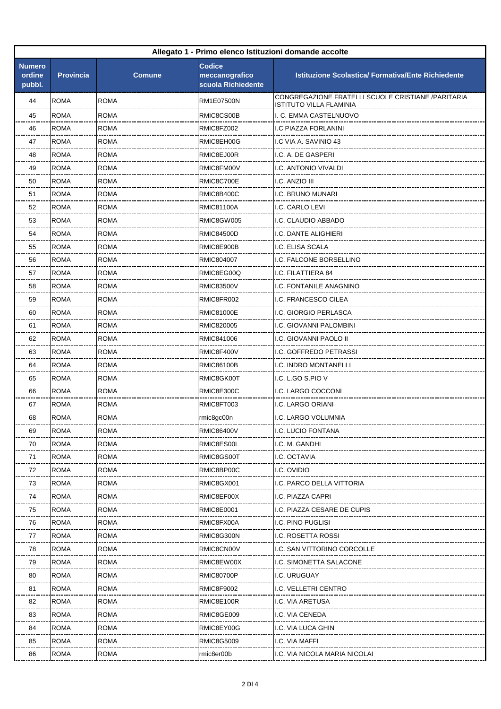| Allegato 1 - Primo elenco Istituzioni domande accolte |                  |               |                                                       |                                                                                      |
|-------------------------------------------------------|------------------|---------------|-------------------------------------------------------|--------------------------------------------------------------------------------------|
| <b>Numero</b><br>ordine<br>pubbl.                     | <b>Provincia</b> | <b>Comune</b> | <b>Codice</b><br>meccanografico<br>scuola Richiedente | <b>Istituzione Scolastica/ Formativa/Ente Richiedente</b>                            |
| 44                                                    | <b>ROMA</b>      | <b>ROMA</b>   | RM1E07500N                                            | CONGREGAZIONE FRATELLI SCUOLE CRISTIANE /PARITARIA<br><b>ISTITUTO VILLA FLAMINIA</b> |
| 45                                                    | <b>ROMA</b>      | <b>ROMA</b>   | RMIC8CS00B                                            | I. C. EMMA CASTELNUOVO                                                               |
| 46                                                    | <b>ROMA</b>      | <b>ROMA</b>   | RMIC8FZ002                                            | I.C PIAZZA FORLANINI                                                                 |
| 47                                                    | <b>ROMA</b>      | <b>ROMA</b>   | RMIC8EH00G                                            | I.C VIA A. SAVINIO 43                                                                |
| 48                                                    | <b>ROMA</b>      | <b>ROMA</b>   | RMIC8EJ00R                                            | I.C. A. DE GASPERI                                                                   |
| 49                                                    | <b>ROMA</b>      | <b>ROMA</b>   | RMIC8FM00V                                            | I.C. ANTONIO VIVALDI                                                                 |
| 50                                                    | <b>ROMA</b>      | <b>ROMA</b>   | RMIC8C700E                                            | I.C. ANZIO III                                                                       |
| 51                                                    | <b>ROMA</b>      | ROMA          | RMIC8B400C                                            | I.C. BRUNO MUNARI                                                                    |
| 52                                                    | <b>ROMA</b>      | <b>ROMA</b>   | <b>RMIC81100A</b>                                     | I.C. CARLO LEVI                                                                      |
| 53                                                    | <b>ROMA</b>      | <b>ROMA</b>   | RMIC8GW005                                            | I.C. CLAUDIO ABBADO                                                                  |
| 54                                                    | <b>ROMA</b>      | <b>ROMA</b>   | <b>RMIC84500D</b>                                     | I.C. DANTE ALIGHIERI                                                                 |
| 55                                                    | <b>ROMA</b>      | <b>ROMA</b>   | RMIC8E900B                                            | I.C. ELISA SCALA                                                                     |
| 56                                                    | <b>ROMA</b>      | <b>ROMA</b>   | RMIC804007                                            | I.C. FALCONE BORSELLINO                                                              |
| 57                                                    | <b>ROMA</b>      | <b>ROMA</b>   | RMIC8EG00Q                                            | I.C. FILATTIERA 84                                                                   |
| 58                                                    | <b>ROMA</b>      | <b>ROMA</b>   | <b>RMIC83500V</b>                                     | I.C. FONTANILE ANAGNINO                                                              |
| 59                                                    | <b>ROMA</b>      | <b>ROMA</b>   | RMIC8FR002                                            | I.C. FRANCESCO CILEA                                                                 |
| 60                                                    | <b>ROMA</b>      | <b>ROMA</b>   | <b>RMIC81000E</b>                                     | I.C. GIORGIO PERLASCA                                                                |
| 61                                                    | <b>ROMA</b>      | ROMA          | RMIC820005                                            | I.C. GIOVANNI PALOMBINI                                                              |
| 62                                                    | <b>ROMA</b>      | <b>ROMA</b>   | RMIC841006                                            | I.C. GIOVANNI PAOLO II                                                               |
| 63                                                    | <b>ROMA</b>      | <b>ROMA</b>   | RMIC8F400V                                            | I.C. GOFFREDO PETRASSI                                                               |
| 64                                                    | <b>ROMA</b>      | <b>ROMA</b>   | <b>RMIC86100B</b>                                     | I.C. INDRO MONTANELLI                                                                |
| 65                                                    | <b>ROMA</b>      | <b>ROMA</b>   | RMIC8GK00T                                            | I.C. L.GO S.PIO V                                                                    |
| 66                                                    | ROMA             | <b>ROMA</b>   | RMIC8E300C                                            | I.C. LARGO COCCONI                                                                   |
| 67                                                    | <b>ROMA</b>      | <b>ROMA</b>   | RMIC8FT003                                            | I.C. LARGO ORIANI                                                                    |
| 68                                                    | <b>ROMA</b>      | <b>ROMA</b>   | rmic8gc00n                                            | I.C. LARGO VOLUMNIA                                                                  |
| 69                                                    | <b>ROMA</b>      | ROMA          | <b>RMIC86400V</b>                                     | I.C. LUCIO FONTANA                                                                   |
| 70                                                    | <b>ROMA</b>      | <b>ROMA</b>   | RMIC8ES00L                                            | I.C. M. GANDHI                                                                       |
| 71                                                    | ROMA             | ROMA          | RMIC8GS00T                                            | I.C. OCTAVIA                                                                         |
| 72                                                    | <b>ROMA</b>      | <b>ROMA</b>   | RMIC8BP00C                                            | I.C. Ovidio                                                                          |
| 73                                                    | <b>ROMA</b>      | <b>ROMA</b>   | RMIC8GX001                                            | I.C. PARCO DELLA VITTORIA                                                            |
| 74                                                    | ROMA             | ROMA          | RMIC8EF00X                                            | I.C. PIAZZA CAPRI                                                                    |
| 75                                                    | <b>ROMA</b>      | <b>ROMA</b>   | RMIC8E0001                                            | I.C. PIAZZA CESARE DE CUPIS                                                          |
| 76                                                    | ROMA             | ROMA          | RMIC8FX00A                                            | I.C. PINO PUGLISI                                                                    |
| 77                                                    | <b>ROMA</b>      | <b>ROMA</b>   | RMIC8G300N                                            | I.C. ROSETTA ROSSI                                                                   |
| 78                                                    | <b>ROMA</b>      | <b>ROMA</b>   | RMIC8CN00V                                            | I.C. SAN VITTORINO CORCOLLE                                                          |
| 79                                                    | ROMA             | ROMA          | RMIC8EW00X                                            | I.C. SIMONETTA SALACONE                                                              |
| 80                                                    | <b>ROMA</b>      | <b>ROMA</b>   | <b>RMIC80700P</b>                                     | I.C. URUGUAY                                                                         |
| 81                                                    | ROMA             | ROMA          | RMIC8F9002                                            | .C. VELLETRI CENTRO                                                                  |
| 82                                                    | <b>ROMA</b>      | <b>ROMA</b>   | RMIC8E100R                                            | I.C. VIA ARETUSA                                                                     |
| 83                                                    | ROMA             | <b>ROMA</b>   | RMIC8GE009                                            | I.C. VIA CENEDA                                                                      |
| 84                                                    | ROMA             | ROMA          | RMIC8EY00G                                            | I.C. VIA LUCA GHIN                                                                   |
| 85                                                    | <b>ROMA</b>      | <b>ROMA</b>   | <b>RMIC8G5009</b>                                     | I.C. VIA MAFFI                                                                       |
| 86                                                    | ROMA             | ROMA          | rmic8er00b                                            | .C. VIA NICOLA MARIA NICOLAI                                                         |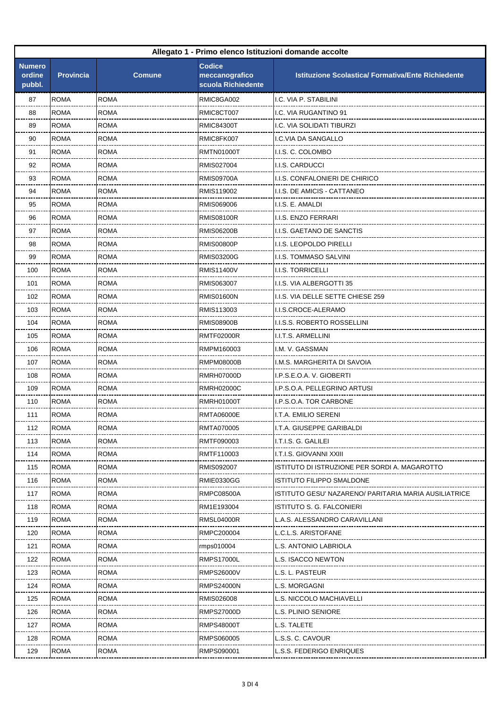| Allegato 1 - Primo elenco Istituzioni domande accolte |                  |               |                                                       |                                                           |
|-------------------------------------------------------|------------------|---------------|-------------------------------------------------------|-----------------------------------------------------------|
| <b>Numero</b><br>ordine<br>pubbl.                     | <b>Provincia</b> | <b>Comune</b> | <b>Codice</b><br>meccanografico<br>scuola Richiedente | <b>Istituzione Scolastica/ Formativa/Ente Richiedente</b> |
| 87                                                    | <b>ROMA</b>      | <b>ROMA</b>   | RMIC8GA002                                            | I.C. VIA P. STABILINI                                     |
| 88                                                    | <b>ROMA</b>      | <b>ROMA</b>   | RMIC8CT007                                            | I.C. VIA RUGANTINO 91                                     |
| 89                                                    | <b>ROMA</b>      | <b>ROMA</b>   | <b>RMIC84300T</b>                                     | I.C. VIA SOLIDATI TIBURZI                                 |
| 90                                                    | <b>ROMA</b>      | ROMA          | RMIC8FK007                                            | I.C.VIA DA SANGALLO                                       |
| 91                                                    | <b>ROMA</b>      | <b>ROMA</b>   | RMTN01000T                                            | I.I.S. C. COLOMBO                                         |
| 92                                                    | <b>ROMA</b>      | <b>ROMA</b>   | RMIS027004                                            | I.I.S. CARDUCCI                                           |
| 93                                                    | <b>ROMA</b>      | <b>ROMA</b>   | <b>RMIS09700A</b>                                     | I.I.S. CONFALONIERI DE CHIRICO                            |
| 94                                                    | <b>ROMA</b>      | <b>ROMA</b>   | RMIS119002                                            | I.I.S. DE AMICIS - CATTANEO                               |
| 95                                                    | <b>ROMA</b>      | ROMA          | RMIS069006                                            | I.I.S. E. AMALDI                                          |
| 96                                                    | <b>ROMA</b>      | <b>ROMA</b>   | RMIS08100R                                            | <b>I.I.S. ENZO FERRARI</b>                                |
| 97                                                    | <b>ROMA</b>      | <b>ROMA</b>   | RMIS06200B                                            | <b>I.I.S. GAETANO DE SANCTIS</b>                          |
| 98                                                    | <b>ROMA</b>      | <b>ROMA</b>   | <b>RMIS00800P</b>                                     | I.I.S. LEOPOLDO PIRELLI                                   |
| 99                                                    | <b>ROMA</b>      | <b>ROMA</b>   | <b>RMIS03200G</b>                                     | I.I.S. TOMMASO SALVINI                                    |
| 100                                                   | <b>ROMA</b>      | ROMA          | RMIS11400V                                            | <b>I.I.S. TORRICELLI</b>                                  |
| 101                                                   | <b>ROMA</b>      | <b>ROMA</b>   | RMIS063007                                            | I.I.S. VIA ALBERGOTTI 35                                  |
| 102                                                   | <b>ROMA</b>      | <b>ROMA</b>   | <b>RMIS01600N</b>                                     | I.I.S. VIA DELLE SETTE CHIESE 259                         |
| 103                                                   | <b>ROMA</b>      | <b>ROMA</b>   | RMIS113003                                            | I.I.S.CROCE-ALERAMO                                       |
| 104                                                   | <b>ROMA</b>      | <b>ROMA</b>   | <b>RMIS08900B</b>                                     | I.I.S.S. ROBERTO ROSSELLINI                               |
| 105                                                   | <b>ROMA</b>      | ROMA          | RMTF02000R                                            | I.I.T.S. ARMELLINI                                        |
| 106                                                   | <b>ROMA</b>      | <b>ROMA</b>   | RMPM160003                                            | I.M. V. GASSMAN                                           |
| 107                                                   | <b>ROMA</b>      | <b>ROMA</b>   | RMPM08000B                                            | I.M.S. MARGHERITA DI SAVOIA                               |
| 108                                                   | <b>ROMA</b>      | <b>ROMA</b>   | RMRH07000D                                            | I.P.S.E.O.A. V. GIOBERTI                                  |
| 109                                                   | <b>ROMA</b>      | <b>ROMA</b>   | <b>RMRH02000C</b>                                     | I.P.S.O.A. PELLEGRINO ARTUSI                              |
| 110                                                   | <b>ROMA</b>      | ROMA          | RMRH01000T                                            | I.P.S.O.A. TOR CARBONE                                    |
| 111                                                   | <b>ROMA</b>      | <b>ROMA</b>   | <b>RMTA06000E</b>                                     | I.T.A. EMILIO SERENI                                      |
| 112                                                   | <b>ROMA</b>      | <b>ROMA</b>   | RMTA070005                                            | I.T.A. GIUSEPPE GARIBALDI                                 |
| 113                                                   | <b>ROMA</b>      | <b>ROMA</b>   | RMTF090003                                            | I.T.I.S. G. GALILEI                                       |
| 114                                                   | <b>ROMA</b>      | <b>ROMA</b>   | RMTF110003                                            | I.T.I.S. GIOVANNI XXIII                                   |
| 115                                                   | <b>ROMA</b>      | ROMA          | RMIS092007                                            | ISTITUTO DI ISTRUZIONE PER SORDI A. MAGAROTTO             |
| 116                                                   | <b>ROMA</b>      | ROMA          | RMIE0330GG                                            | ISTITUTO FILIPPO SMALDONE                                 |
| 117                                                   | <b>ROMA</b>      | ROMA          | RMPC08500A                                            | ISTITUTO GESU' NAZARENO/ PARITARIA MARIA AUSILIATRICE     |
| 118                                                   | <b>ROMA</b>      | <b>ROMA</b>   | RM1E193004                                            | ISTITUTO S. G. FALCONIERI                                 |
| 119                                                   | <b>ROMA</b>      | <b>ROMA</b>   | <b>RMSL04000R</b>                                     | L.A.S. ALESSANDRO CARAVILLANI                             |
| 120                                                   | <b>ROMA</b>      | ROMA          | RMPC200004                                            | L.C.L.S. ARISTOFANE                                       |
| 121                                                   | <b>ROMA</b>      | <b>ROMA</b>   | rmps010004                                            | L.S. ANTONIO LABRIOLA                                     |
| 122                                                   | <b>ROMA</b>      | ROMA          | RMPS17000L                                            | L.S. ISACCO NEWTON                                        |
| 123                                                   | <b>ROMA</b>      | ROMA          | RMPS26000V                                            | S. L. PASTEUR                                             |
| 124                                                   | <b>ROMA</b>      | <b>ROMA</b>   | <b>RMPS24000N</b>                                     | L.S. MORGAGNI                                             |
| 125                                                   | <b>ROMA</b>      | ROMA          | RMIS026008                                            | L.S. NICCOLO MACHIAVELLI                                  |
| 126                                                   | <b>ROMA</b>      | ROMA          | RMPS27000D                                            | L.S. PLINIO SENIORE                                       |
| 127                                                   | <b>ROMA</b>      | ROMA          | RMPS48000T                                            | L.S. TALETE                                               |
| 128                                                   | ROMA             | ROMA          | RMPS060005                                            | L.S.S. C. CAVOUR                                          |
| 129                                                   | <b>ROMA</b>      | <b>ROMA</b>   | RMPS090001                                            | L.S.S. FEDERIGO ENRIQUES                                  |